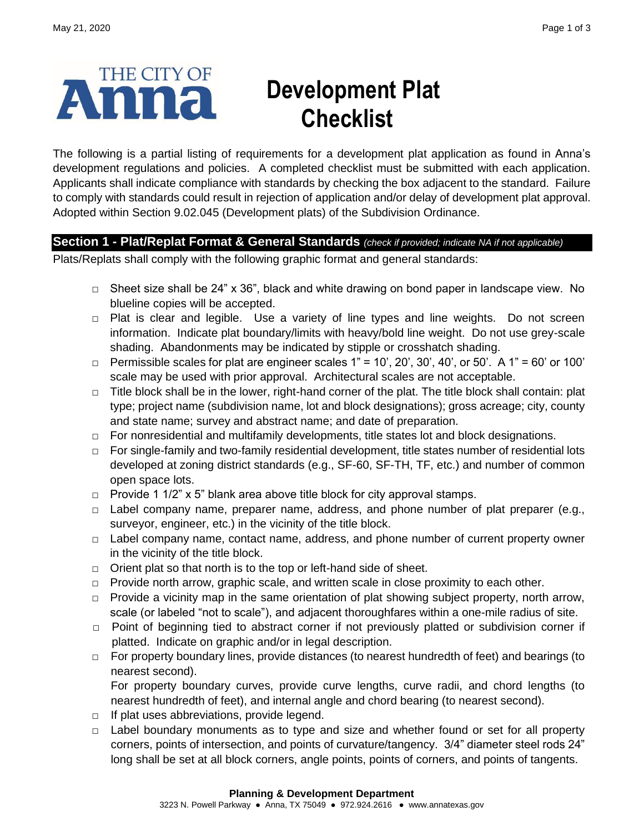

# **Development Plat Checklist**

The following is a partial listing of requirements for a development plat application as found in Anna's development regulations and policies. A completed checklist must be submitted with each application. Applicants shall indicate compliance with standards by checking the box adjacent to the standard. Failure to comply with standards could result in rejection of application and/or delay of development plat approval. Adopted within Section 9.02.045 (Development plats) of the Subdivision Ordinance.

## **Section 1 - Plat/Replat Format & General Standards** *(check if provided; indicate NA if not applicable)*

Plats/Replats shall comply with the following graphic format and general standards:

- **□** Sheet size shall be 24" x 36", black and white drawing on bond paper in landscape view. No blueline copies will be accepted.
- **□** Plat is clear and legible. Use a variety of line types and line weights. Do not screen information. Indicate plat boundary/limits with heavy/bold line weight. Do not use grey-scale shading. Abandonments may be indicated by stipple or crosshatch shading.
- **□** Permissible scales for plat are engineer scales 1" = 10', 20', 30', 40', or 50'. A 1" = 60' or 100' scale may be used with prior approval. Architectural scales are not acceptable.
- **□** Title block shall be in the lower, right-hand corner of the plat. The title block shall contain: plat type; project name (subdivision name, lot and block designations); gross acreage; city, county and state name; survey and abstract name; and date of preparation.
- **□** For nonresidential and multifamily developments, title states lot and block designations.
- **□** For single-family and two-family residential development, title states number of residential lots developed at zoning district standards (e.g., SF-60, SF-TH, TF, etc.) and number of common open space lots.
- **□** Provide 1 1/2" x 5" blank area above title block for city approval stamps.
- **□** Label company name, preparer name, address, and phone number of plat preparer (e.g., surveyor, engineer, etc.) in the vicinity of the title block.
- **□** Label company name, contact name, address, and phone number of current property owner in the vicinity of the title block.
- **□** Orient plat so that north is to the top or left-hand side of sheet.
- **□** Provide north arrow, graphic scale, and written scale in close proximity to each other.
- □ Provide a vicinity map in the same orientation of plat showing subject property, north arrow, scale (or labeled "not to scale"), and adjacent thoroughfares within a one-mile radius of site.
- **□** Point of beginning tied to abstract corner if not previously platted or subdivision corner if platted. Indicate on graphic and/or in legal description.
- **□** For property boundary lines, provide distances (to nearest hundredth of feet) and bearings (to nearest second).

For property boundary curves, provide curve lengths, curve radii, and chord lengths (to nearest hundredth of feet), and internal angle and chord bearing (to nearest second).

- **□** If plat uses abbreviations, provide legend.
- **□** Label boundary monuments as to type and size and whether found or set for all property corners, points of intersection, and points of curvature/tangency. 3/4" diameter steel rods 24" long shall be set at all block corners, angle points, points of corners, and points of tangents.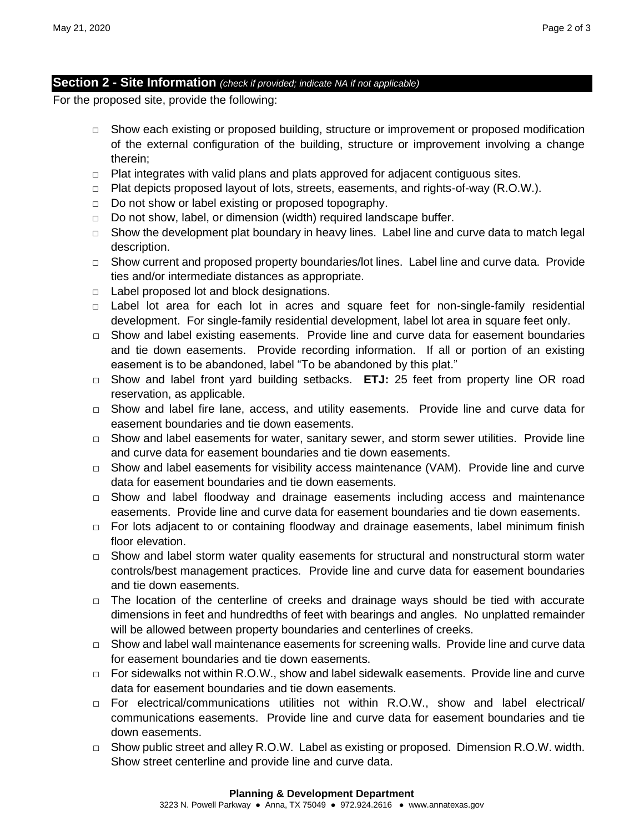### **Section 2 - Site Information** *(check if provided; indicate NA if not applicable)*

For the proposed site, provide the following:

- **□** Show each existing or proposed building, structure or improvement or proposed modification of the external configuration of the building, structure or improvement involving a change therein;
- □ Plat integrates with valid plans and plats approved for adjacent contiguous sites.
- **□** Plat depicts proposed layout of lots, streets, easements, and rights-of-way (R.O.W.).
- **□** Do not show or label existing or proposed topography.
- **□** Do not show, label, or dimension (width) required landscape buffer.
- **□** Show the development plat boundary in heavy lines. Label line and curve data to match legal description.
- **□** Show current and proposed property boundaries/lot lines. Label line and curve data. Provide ties and/or intermediate distances as appropriate.
- **□** Label proposed lot and block designations.
- **□** Label lot area for each lot in acres and square feet for non-single-family residential development. For single-family residential development, label lot area in square feet only.
- **□** Show and label existing easements. Provide line and curve data for easement boundaries and tie down easements. Provide recording information. If all or portion of an existing easement is to be abandoned, label "To be abandoned by this plat."
- **□** Show and label front yard building setbacks. **ETJ:** 25 feet from property line OR road reservation, as applicable.
- **□** Show and label fire lane, access, and utility easements. Provide line and curve data for easement boundaries and tie down easements.
- **□** Show and label easements for water, sanitary sewer, and storm sewer utilities. Provide line and curve data for easement boundaries and tie down easements.
- **□** Show and label easements for visibility access maintenance (VAM). Provide line and curve data for easement boundaries and tie down easements.
- **□** Show and label floodway and drainage easements including access and maintenance easements. Provide line and curve data for easement boundaries and tie down easements.
- **□** For lots adjacent to or containing floodway and drainage easements, label minimum finish floor elevation.
- **□** Show and label storm water quality easements for structural and nonstructural storm water controls/best management practices. Provide line and curve data for easement boundaries and tie down easements.
- **□** The location of the centerline of creeks and drainage ways should be tied with accurate dimensions in feet and hundredths of feet with bearings and angles. No unplatted remainder will be allowed between property boundaries and centerlines of creeks.
- **□** Show and label wall maintenance easements for screening walls. Provide line and curve data for easement boundaries and tie down easements.
- **□** For sidewalks not within R.O.W., show and label sidewalk easements. Provide line and curve data for easement boundaries and tie down easements.
- **□** For electrical/communications utilities not within R.O.W., show and label electrical/ communications easements. Provide line and curve data for easement boundaries and tie down easements.
- **□** Show public street and alley R.O.W. Label as existing or proposed. Dimension R.O.W. width. Show street centerline and provide line and curve data.